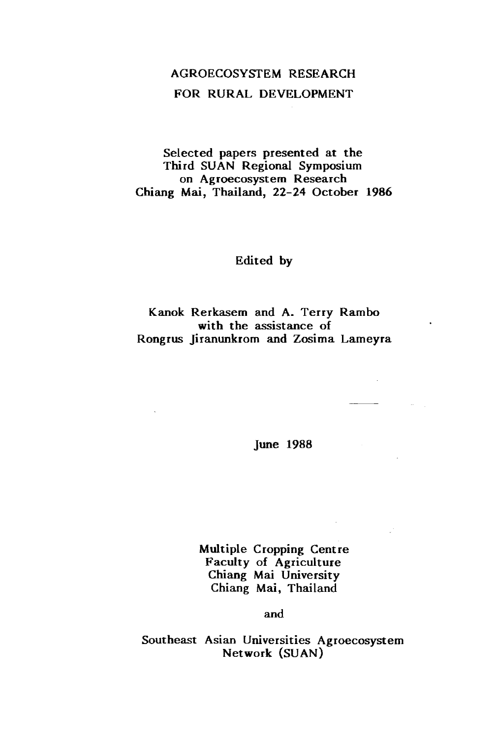# AGROECOSYSTEM RESEARCH FOR RURAL DEVELOPMENT

Selected papers presented at the Third SUAN Regional Symposium on Agroecosystem Research Chiang Mai, Thailand, 22-24 October 1986

Edited by

Kanok Rerkasem and A. Terry Rambo with the assistance of Rongrus Jiranunkrom and Zosima Lameyra

June 1988

 $\overline{\phantom{a}}$ 

Multiple Cropping Centre Faculty of Agriculture Chiang Mai University Chiang Mai, Thailand

and

Southeast Asian Universities Agroecosystem Network (SUAN)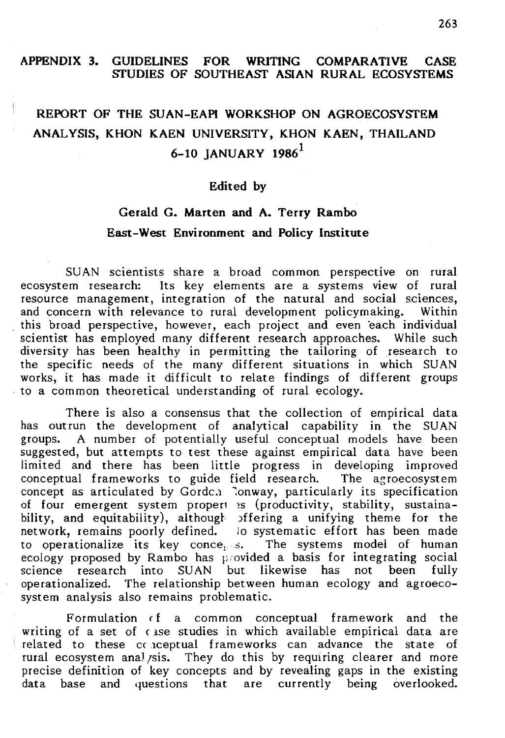### APPENDIX 3. GUIDELINES FOR WRITING COMPARATIVE CASE SfUDIES OF SOUTHEASf ASIAN RURAL ECOSYSfEMS

# REPORT OF THE SUAN-EAPI WORKSHOP ON AGROECOSYSfEM ANALYSIS, KHON KAEN UNIVERSITY, KHON KAEN, THAILAND 6-10 IANUARY 1986 $^1$

### Edited by

## Gerald G. Marten and A. Terry Rambo East-West Environment and Policy Institute

SUAN scientists share a broad common perspective on rural ecosystem research: Its key elements are a systems view of rural resource management, integration of the natural and social sciences, and concern with relevance to rural development policymaking. Within this broad perspective, however, each project and even 'each individual scientist has employed many different research approaches. While such diversity has been healthy in permitting the tailoring of research to the specific needs of the many different situations in which SUAN works, it has made it difficult to relate findings of different groups . to a common theoretical understanding of rural ecology.

There is also a consensus that the collection of empirical data has outrun the development of analytical capability in the SUAN groups. A number of potentially useful conceptual models have been suggested, but attempts to test these against empirical data have been limited and there has been little progress in developing improved conceptual frameworks to guide field research. The agroecosystem conceptual frameworks to guide field research. concept as articulated by Gordc.1 Conway, particularly its specification of four emergent system propert is (productivity, stability, sustainability, and equitability), although offering a unifying theme for the network, remains poorly defined. Jo systematic effort has been made to operationalize its key conce<sub>1</sub>  $s$ . The systems model of human ecology proposed by Rambo has provided a basis for integrating social science research into SUAN but likewise has not been fully operationalized. The relationship between human ecology and agroecosystem analysis also remains problematic.

Formulation cf a common conceptual framework and the writing of a set of case studies in which available empirical data are related to these *cc* 1ceptual frameworks can advance the state of rural ecosystem analysis. They do this by requiring clearer and more precise definition of key concepts and by revealing gaps in the existing data base and questions that are currently being overlooked.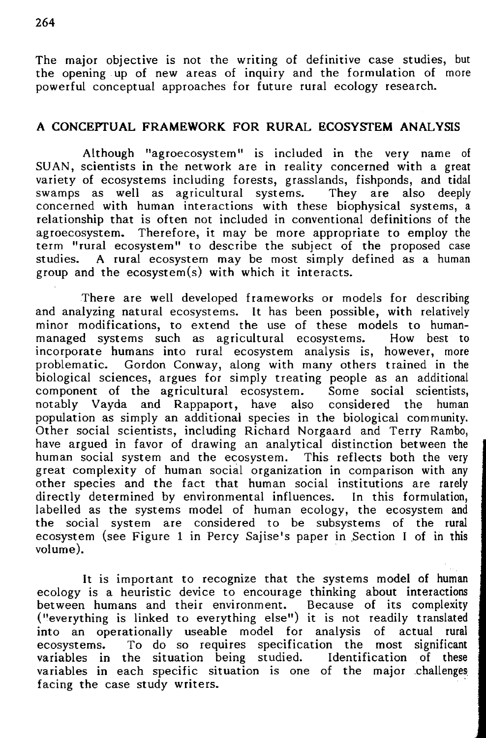The major objective is not the writing of definitive case studies, but the opening up of new areas of inquiry and the formulation of more powerful conceptual approaches for future rural ecology research.

### A CONCEPrUAL FRAMEWORK FOR RURAL ECOSYSTEM ANALYSIS

Although "agroecosystem" is included in the very name of SU AN, scientists in the network are in reality concerned with a great variety of ecosystems including forests, grasslands, fishponds, and tidal swamps as well as agricultural systems. concerned with human interactions with these biophysical systems, a relationship that is often not included in conventional definitions of the agroecosystem. Therefore, it may be more appropriate to employ the term "rural ecosystem" to describe the subject of the proposed case studies. A rural ecosystem may be most simply defined as a human group and the ecosystem(s) with which it interacts.

There are well developed frameworks or models for describing and analyzing natural ecosystems. It has been possible, with relatively minor modifications, to extend the use of these models to human-<br>managed systems such as agricultural ecosystems. How best to managed systems such as agricultural ecosystems. incorporate humans into rural ecosystem analysis is, however, more problematic. Gordon Conway, along with many others trained in the biological sciences, argues for simply treating people as an additional component of the agricultural ecosystem. Some social scientists. component of the agricultural ecosystem. notably Vayda and Rappaport, have also considered the human population as simply an additional species in the biological community. Other social scientists, including Richard Norgaard and Terry Rambo, have argued in favor of drawing an analytical distinction between the human social system and the ecosystem. This reflects both the very great complexity of human social organization in comparison with any other species and the fact that human social institutions are rarely directly determined by environmental influences. In this formulation, labelled as the systems model of human ecology, the ecosystem and the social system are considered to be subsystems of the rural ecosystem (see Figure 1 in Percy Sajise's paper in Section I of in this volume).

It is important to recognize that the systems model of human ecology is a heuristic device to encourage thinking about interactions between humans and their environment. Because of its complexity ("everything is linked to everything else") it is not readily translated into an operationally useable model for analysis of actual rural ecosystems. To do so requires specification the most significant<br>variables in the situation being studied. Identification of these variables in the situation being studied. variables in each specific situation is one of the major challenges facing the case study writers.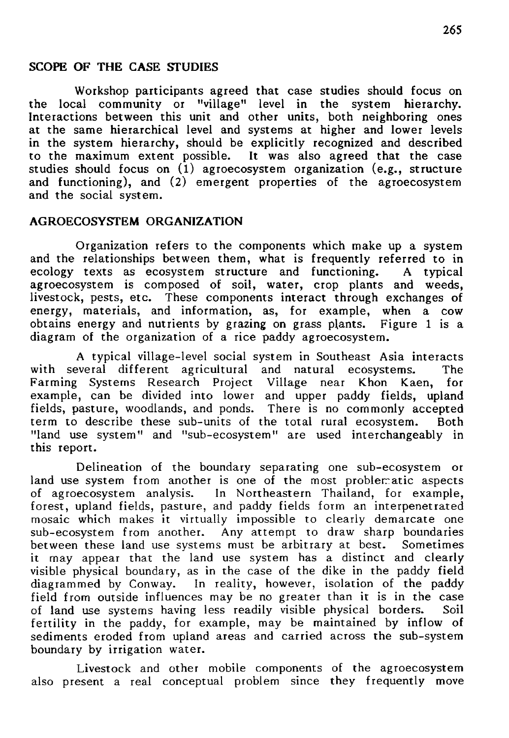#### SCOPE OF THE CASE SfUDIES

Workshop participants agreed that case studies should focus on ral community or "village" level in the system hierarchy. the local community or "village" level in the system Interactions between this unit and other units, both neighboring ones at the same hierarchical level and systems at higher and lower levels in the system hierarchy, should be explicitly recognized and described to the maximum extent possible. It was also agreed that the case studies should focus on  $(1)$  agroecosystem organization (e.g., structure and functioning), and (2) emergent properties of the agroecosystem and the social system.

### AGROECOSYSfEM ORGANIZATION

Organization refers to the components which make up a system and the relationships between them, what is frequently referred to in ecology texts as ecosystem structure and functioning. A typical ecology texts as ecosystem structure and functioning. A agroecosystem is composed of soil, water, crop plants and weeds, livestock, pests, etc. These components interact through exchanges of energy, materials, and information, as, for example, when a cow obtains energy and nutrients by grazing on grass plants. Figure 1 is a diagram of the organization of a rice paddy agroecosystem.

A typical village-level social system in Southeast Asia interacts with several different agricultural and natural ecosystems. The Farming Systems Research Project Village near Khon Kaen, for example, can be divided into lower and upper paddy fields, upland fields, pasture, woodlands, and ponds. There is no commonly accepted term to describe these sub-units of the total rural ecosystem. Both "land use system" and "sub-ecosystem" are used interchangeably in this report.

Delineation of the boundary separating one sub-ecosystem or land use system from another is one of the most problematic aspects of agroecosystem analysis. In Northeastern Thailand, for example, In Northeastern Thailand, for example, forest, upland fields, pasture, and paddy fields form an interpenetrated mosaic which makes it virtually impossible to clearly demarcate one sub-ecosystem from another. Any attempt to draw sharp boundaries<br>between these land use systems must be arbitrary at best. Sometimes between these land use systems must be arbitrary at best. it may appear that the land use system has a distinct and clearly visible physical boundary, as in the case of the dike in the paddy field diagrammed by Conway. In reality, however, isolation of the paddy field from outside influences may be no greater than it is in the case of land use systems having less readily visible physical borders. Soil fertility in the paddy, for example, may be maintained by inflow of sediments eroded from upland areas and carried across the sub-system boundary by irrigation water.

Livestock and other mobile components of the agroecosystem also present a real conceptual problem since they frequently move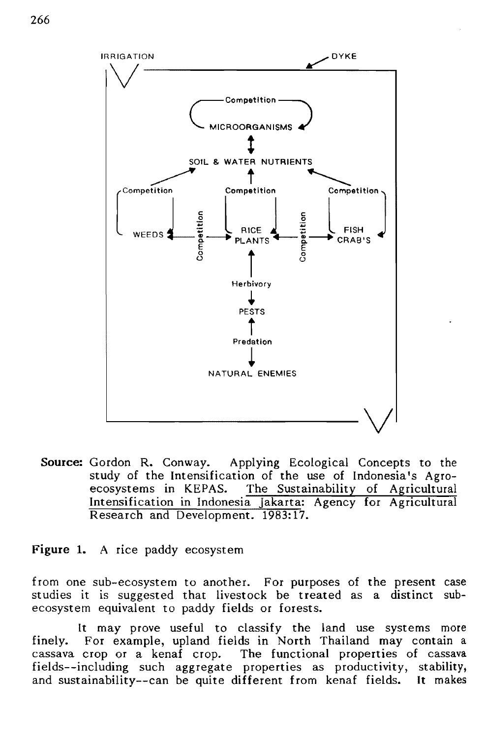

**Source:** Gordon R. Conway. Applying Ecological Concepts to the study of the Intensification of the use of Indonesia's Agroecosystems in KEPAS. The Sustainability of Agricultural Intensification in Indonesia Jakarta: Agency for Agricultural Research and Development. 1983:17.

**Figure 1.** A rice paddy ecosystem

from one sub-ecosystem to another. For purposes of the present case studies it is suggested that livestock be treated as a distinct subecosystem equivalent to paddy fields or forests.

It may prove useful to classify the land use systems more finely. For example, upland fields in North Thailand may contain a cassava crop or a kenaf crop. The functional properties of cassava fields--including such aggregate properties as productivity, stability, and sustainability--can be quite different from kenaf fields. It makes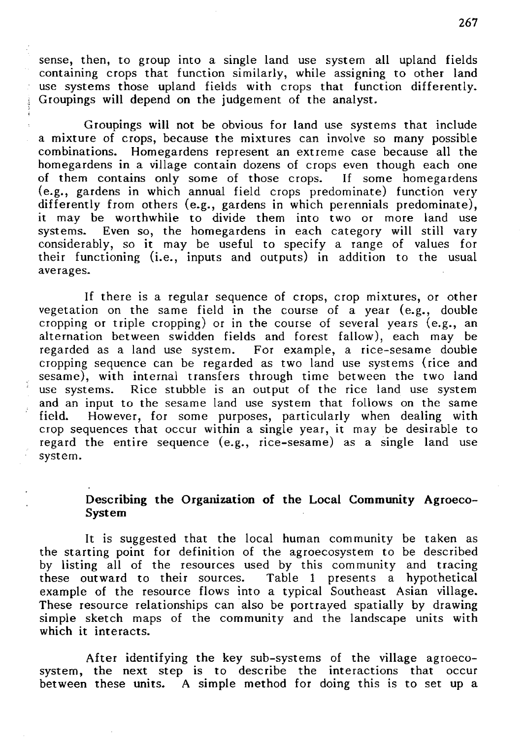sense, then, to group into a single land use system all upland fields containing crops that function similarly, while assigning to other land use systems those upland fields with crops that function differently. Groupings will depend on the judgement of the analyst.

Groupings will not be obvious for land use systems that include a mixture of crops, because the mixtures can involve so many possible combinations. Homegardens represent an extreme case because all the homegardens in a village contain dozens of crops even though each one of them contains only some of those crops. If some homegardens (e.g., gardens in which annual field crops predominate) function very differently from others (e.g., gardens in which perennials predominate), it may be worthwhile to divide them into two or more land use systems. Even so, the homegardens in each category will still vary considerably, so it may be useful to specify a range of values for their functioning (i.e., inputs and outputs) in addition to the usual averages.

If there is a regular sequence of crops, crop mixtures, or other vegetation on the same field in the course of a year (e.g., double cropping or triple cropping) or in the course of several years (e.g., an alternation between swidden fields and forest fallow), each may be regarded as a land use system. For example, a rice-sesame double For example, a rice-sesame double. cropping sequence can be regarded as two land use systems (rice and sesame), with internal transfers through time between the two land use systems. Rice stubble is an output of the rice land use system and an input to the sesame land use system that follows on the same field. However, for some purposes, particularly when dealing with crop sequences that occur within a single year, it may be desirable to regard the entire sequence (e.g., rice-sesame) as a single land use system.

### Describing the Organization of the Local Community Agroeco-System

It is suggested that the local human community be taken as the starting point for definition of the agroecosystem to be described by listing all of the resources used by this community and tracing these outward to their sources. Table 1 presents a hypothetical example of the resource flows into a typical Southeast Asian village. These resource relationships can also be portrayed spatially by drawing simple sketch maps of the community and the landscape units with which it interacts.

After identifying the key sub-systems of the village agroecosystem, the next step is to describe the interactions that occur between these units. A simple method for doing this is to set up a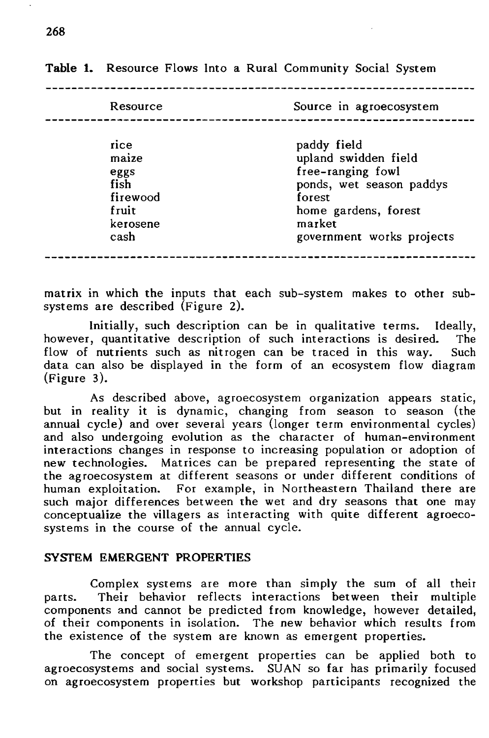| Resource                                                               | Source in agroecosystem                                                                                                                                       |  |  |  |
|------------------------------------------------------------------------|---------------------------------------------------------------------------------------------------------------------------------------------------------------|--|--|--|
| rice<br>maize<br>eggs<br>fish<br>firewood<br>fruit<br>kerosene<br>cash | paddy field<br>upland swidden field<br>free-ranging fowl<br>ponds, wet season paddys<br>forest<br>home gardens, forest<br>market<br>government works projects |  |  |  |

**Table 1.** Resource Flows Into a Rural Community Social System

matrix in which the inputs that each sub-system makes to other subsystems are described (Figure 2).

Initially, such description can be in qualitative terms. Ideally,<br>considerative description of such interactions is desired. The however, quantitative description of such interactions is desired. flow of nutrients such as nitrogen can be traced in this way. Such data can also be displayed in the form of an ecosystem flow diagram (Figure 3).

As described above, agroecosystem organization appears static, but in reality it is dynamic, changing from season to season (the annual cycle) and over several years (longer term environmental cycles) and also undergoing evolution as the character of human-environment interactions changes in response to increasing population or adoption of new technologies. Matrices can be prepared representing the state of the agroecosystem at different seasons or under different conditions of human exploitation. For example, in Northeastern Thailand there are such major differences between the wet and dry seasons that one may conceptualize the villagers as interacting with quite different agroecosystems in the course of the annual cycle.

#### SYSfEM EMERGENT PROPERTIES

Complex systems are more than simply the sum of all their parts. Their behavior reflects interactions between their multiple components and cannot be predicted from knowledge, however detailed, of their components in isolation. The new behavior which results from the existence of the system are known as emergent properties.

The concept of emergent properties can be applied both to agroecosystems and social systems. SU AN so far has primarily focused on agroecosystem properties but workshop participants recognized the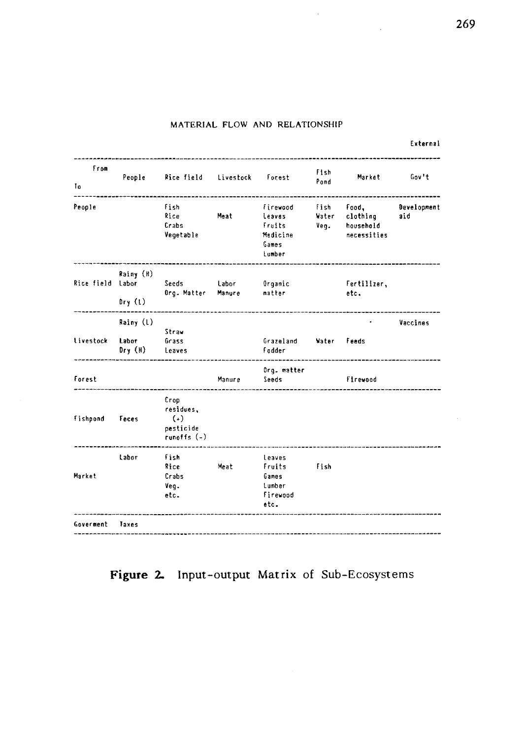#### MATERIAL FLOW AND RELATIONSHIP

 $\mathcal{L}^{\mathcal{L}}$ 

| from<br>To       | People              | Rice field Livestock Forest                                 |        |                                                             | Fish<br>Pond          | Market                                        | Gov't              |
|------------------|---------------------|-------------------------------------------------------------|--------|-------------------------------------------------------------|-----------------------|-----------------------------------------------|--------------------|
| People           |                     | fish<br>Rice<br>Crabs<br>Vegetable                          | Meat   | firewood<br>leaves<br>Fruits<br>Medicine<br>Games<br>Lumber | Fish<br>Water<br>Veg. | Food.<br>clothing<br>household<br>necessities | Development<br>aid |
| Rice field Labor | Rainy (H)<br>Dry(t) | Seeds Labor<br>Org. Matter - Manure                         |        | Organic<br>matter                                           |                       | Fertilizer,<br>etc.                           |                    |
| Livestock Labor  | Rainy (L)<br>Dry(H) | Straw<br>Grass<br>Leaves                                    |        | Grazeland Water Feeds<br><b>Fodder</b>                      |                       |                                               | Vaccines           |
| Forest           |                     | the company of the company of the company of the            | Manure | Org. matter<br>Seeds                                        |                       | Firewood                                      |                    |
| fishpond         | Feces               | Crop<br>residues.<br>$(\ast)$<br>pesticide<br>runoffs $(-)$ |        |                                                             |                       |                                               |                    |
| Market           | Labor               | fish<br>Rice<br>Crabs<br>Veg.<br>etc.                       | Meat   | Leaves<br>Fruits<br>Games<br>Lumber<br>Firewood<br>etc.     | Fish                  |                                               |                    |
| Goverment        | Taxes               |                                                             |        |                                                             |                       |                                               |                    |

**Figure 2. Input-output Matrix** of Sub-Ecosystems

External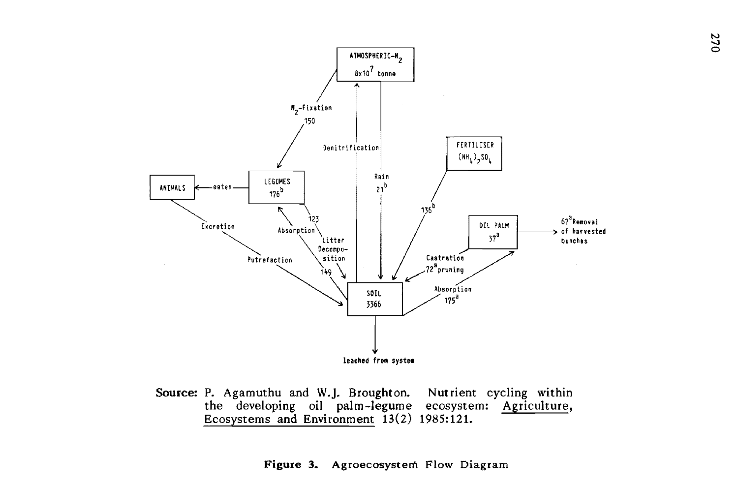

Source: P. Agamuthu and W.j. Broughton. the developing oil palm-legume ecosystem: Agriculture, Ecosystems and Environment 13(2) 1985:121. Nutrient cycling within

Figure 3. Agroecosystem Flow Diagram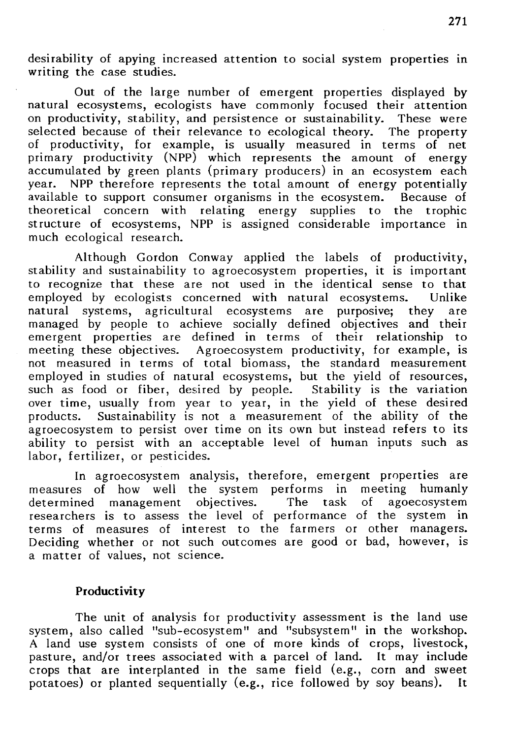desirability of apying increased attention to social system properties in writing the case studies.

Out of the large number of emergent properties displayed by natural ecosystems, ecologists have commonly focused their attention on productivity, stability, and persistence or sustainability. These were selected because of their relevance to ecological theory. The property of productivity, for example, is usually measured in terms of net primary productivity (NPP) which represents the amount of energy accumulated by green plants (primary producers) in an ecosystem each year. NPP therefore represents the total amount of energy potentially NPP therefore represents the total amount of energy potentially<br>le to support consumer organisms in the ecosystem. Because of available to support consumer organisms in the ecosystem. Because of theoretical concern with relating energy supplies to the trophic theoretical concern with relating energy supplies to the structure of ecosystems, NPP is assigned considerable importance in much ecological research.

Although Gordon Conway applied the labels of productivity, stability and sustainability to agroecosystem properties, it is important to recognize that these are not used in the identical sense to that employed by ecologists concerned with natural ecosystems. Unlike employed by ecologists concerned with natural ecosystems. natural systems, agricultural ecosystems are purposive; they are managed by people to achieve socially defined objectives and their emergent properties are defined in terms of their relationship to meeting these objectives. Agroecosystem productivity, for example, is not measured in terms of total biomass, the standard measurement employed in studies of natural ecosystems, but the yield of resources, such as food or fiber, desired by people. Stability is the variation such as food or fiber, desired by people. over time, usually from year to year, in the yield of these desired products. Sustainability is not a measurement of the ability of the Sustainability is not a measurement of the ability of the agroecosystem to persist over time on its own but instead refers to its ability to persist with an acceptable level of human inputs such as labor, fertilizer, or pesticides.

In agroecosystem analysis, therefore, emergent properties are measures of how well the system performs in meeting humanly<br>determined management objectives. The task of agoecosystem determined management objectives. researchers is to assess the level of performance of the system in terms of measures of interest to the farmers or other managers. Deciding whether or not such outcomes are good or bad, however, is a matter of values, not science.

### **Productivity**

The unit of analysis for productivity assessment is the land use system, also called "sub-ecosystem" and "subsystem" in the workshop. A land use system consists of one of more kinds of crops, livestock, pasture, and/or trees associated with a parcel of land. It may include crops that are interplanted in the same field (e.g., corn and sweet potatoes) or planted sequentially (e.g., rice followed by soy beans). It potatoes) or planted sequentially (e.g., rice followed by soy beans).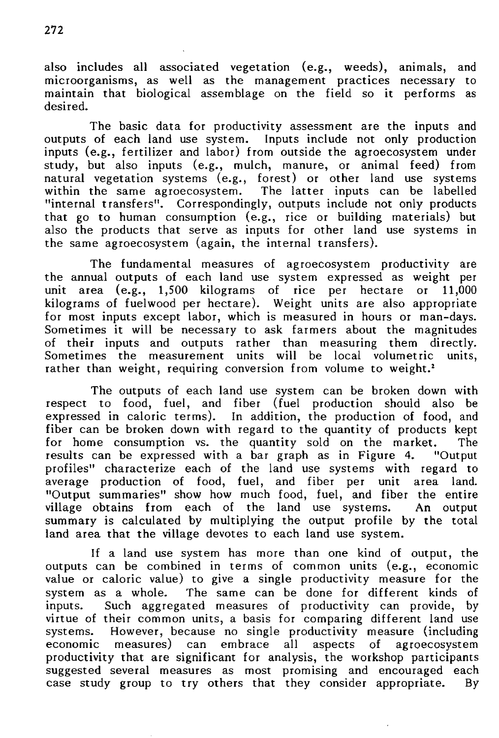also includes all associated vegetation (e.g., weeds), animals, and microorganisms, as well as the management practices necessary to maintain that biological assemblage on the field so it performs as desired.

The basic data for productivity assessment are the inputs and outputs of each land use system. Inputs include not only production inputs (e.g., fertilizer and labor) from outside the agroecosystem under study, but also inputs (e.g., mulch, manure, or animal feed) from natural vegetation systems (e.g., forest) or other land use systems within the same agroecosystem. The latter inputs can be labelled "internal transfers". Correspondingly, outputs include not only products that go to human consumption (e.g., rice or building materials) but also the products that serve as inputs for other land use systems in the same agroecosystem (again, the internal transfers).

The fundamental measures of agroecosystem productivity are the annual outputs of each land use system expressed as weight per unit area (e.g., 1.500 kilograms of rice per hectare or 11.000 unit area (e.g., 1,500 kilograms of rice per hectare or kilograms of fuelwood per hectare). Weight units are also appropriate for most inputs except labor, which is measured in hours or man-days. Sometimes it will be necessary to ask farmers about the magnitudes of their inputs and outputs rather than measuring them directly.<br>Sometimes the measurement units will be local volumetric units. Sometimes the measurement units will be local volumetric rather than weight, requiring conversion from volume to weight.<sup>2</sup>

The outputs of each land use system can be broken down with respect to food, fuel, and fiber (fuel production should also be expressed in caloric terms). In addition, the production of food, and fiber can be broken down with regard to the quantity of products kept for home consumption vs. the quantity sold on the market. The for home consumption vs. the quantity sold on the market. results can be expressed with a bar graph as in Figure 4. "Output profiles" characterize each of the land use systems with regard to average production of food, fuel, and fiber per unit area land. "Output summaries" show how much food, fuel, and fiber the entire village obtains from each of the land use systems. An output summary is calculated by multiplying the output profile by the total land area that the village devotes to each land use system.

If a land use system has more than one kind of output, the outputs can be combined in terms of common units (e.g., economic value or caloric value) to give a single productivity measure for the system as a whole. The same can be done for different kinds of inputs. Such aggregated measures of productivity can provide, by inputs. Such aggregated measures of productivity can provide, virtue of their common units, a basis for comparing different land use systems. However, because no single productivity measure (including economic measures) can embrace all aspects of agroecosystem productivity that are significant for analysis, the workshop participants suggested several measures as most promising and encouraged each case study group to try others that they consider appropriate. By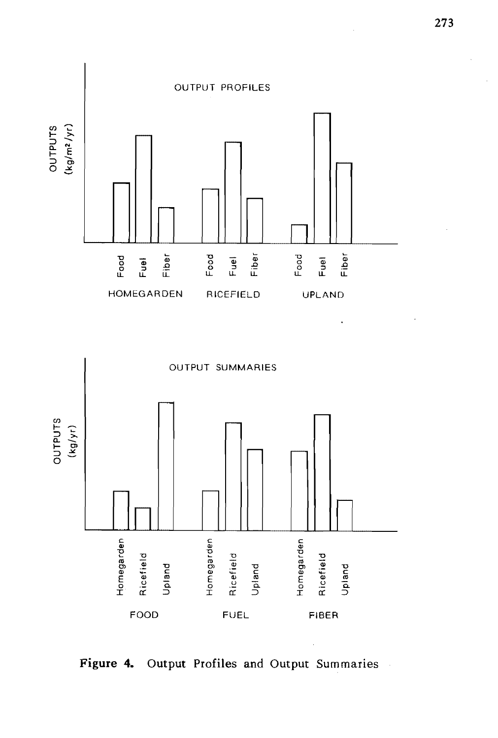



**Figure 4. Output Profiles and Output** Summaries

l,

.

 $\hat{\mathcal{A}}$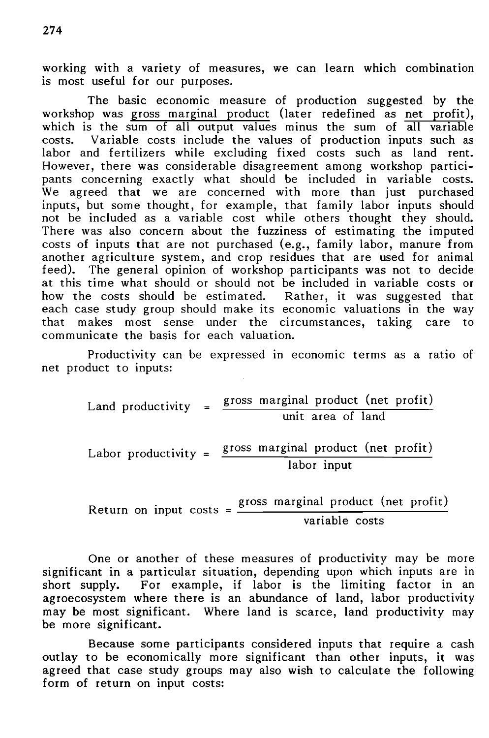working with a variety of measures, we can learn which combination is most useful for our purposes.

The basic economic measure of production suggested by the workshop was gross marginal product (later redefined as net profit), which is the sum of all output values minus the sum of all variable costs. Variable costs include the values of production inputs such as labor and fertilizers while excluding fixed costs such as land rent. However, there was considerable disagreement among workshop participants concerning exactly what should be included in variable costs. We agreed that we are concerned with more than just purchased inputs, but some thought, for example, that family labor inputs should not be included as a variable cost while others thought they should. There was also concern about the fuzziness of estimating the imputed costs of inputs that are not purchased (e.g., family labor, manure from another agriculture system, and crop residues that are used for animal feed). The general opinion of workshop participants was not to decide at this time what should or should not be included in variable costs or how the costs should be estimated. Rather, it was suggested that each case study group should make its economic valuations in the way that makes most sense under the circumstances, taking care to communicate the basis for each valuation.

Productivity can be expressed in economic terms as a ratio of net product to inputs:

Land productivity =  $\frac{\text{gross marginal product (net profit)}}{\text{area}}$ Labor productivity =  $\frac{\text{gross marginal product (net profit)}}{\text{mean}}$ unit area of land labor input Return on input  $costs = \frac{gross \text{ marginal product (net profit)}}{1 - 1}$ 

variable costs

One or another of these measures of productivity may be more significant in a particular situation, depending upon which inputs are in short supply. For example, if labor is the limiting factor in an agroecosystem where there is an abundance of land, labor productivity may be most significant. Where land is scarce, land productivity may be more significant.

Because some participants considered inputs that require a cash outlay to be economically more significant than other inputs, it was agreed that case study groups may also wish to calculate the following form of return on input costs: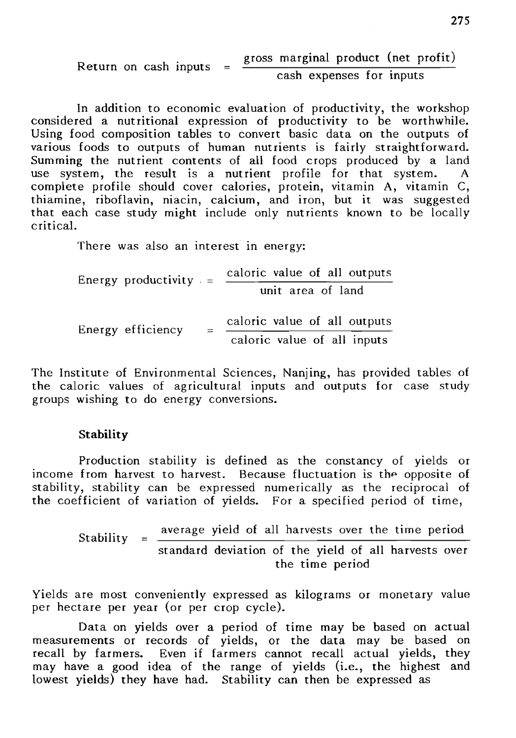Return on cash inputs = 
$$
\frac{\text{gross marginal product (net profit)}}{\text{cash expenses for inputs}}
$$

In addition to economic evaluation of productivity, the workshop considered a nutritional expression of productivity to be worthwhile. Using food composition tables to convert basic data on the outputs of various foods to outputs of human nutrients is fairly straightforward. Summing the nutrient contents of all food crops produced by a land use system, the result is a nutrient profile for that system. complete profile should cover calories, protein, vitamin A, vitamin C, thiamine, riboflavin, niacin, calcium, and iron, but it was suggested that each case study might include only nutrients known to be locally critical.

There was also an interest in energy:

Energy productivity  $=$   $\frac{\text{caloric value of all outputs}}{\text{error}}$ unit area of land Energy efficiency =  $=\frac{\text{caloric value of all outputs}}{\frac{1}{\sqrt{1-\frac{1}{n}}}}$ caloric value of all inputs

The Institute of Environmental Sciences, Nanjing, has provided tables of the caloric values of agricultural inputs and outputs for case study groups wishing to do energy conversions.

#### **Stability**

Production stability is defined as the constancy of yields or income from harvest to harvest. Because fluctuation is the opposite of stability, stability can be expressed numerically as the reciprocal of the coefficient of variation of yields. For a specified period of time,

> Stability =  $\frac{\text{average yield of all harvests over the time period}}{\frac{1}{2} + \frac{1}{2} + \frac{1}{2} + \frac{1}{2} + \frac{1}{2} + \frac{1}{2} + \frac{1}{2}}$ standard deviation of the yield of all harvests over the time period

Yields are most conveniently expressed as kilograms or monetary value per hectare per year (or per crop cycle).

Data on yields over a period of time may be based on actual measurements or records of yields, or the data may be based on recall by farmers. Even if farmers cannot recall actual yields, they may have a good idea of the range of yields (i.e., the highest and lowest yields) they have had. Stability can then be expressed as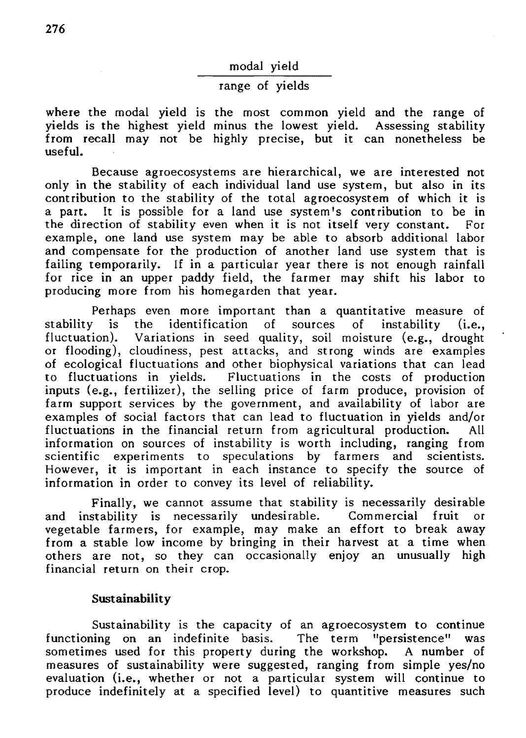modal yield

### range of yields

where the modal yield is the most common yield and the range of yields is the highest yield minus the lowest yield. Assessing stability from recall may not be highly precise, but it can nonetheless be useful.

Because agroecosystems are hierarchical, we are interested not only in the stability of each individual land use system, but also in its contribution to the stability of the total agroecosystem of which it is It is possible for a land use system's contribution to be in tion of stability even when it is not itself very constant. For the direction of stability even when it is not itself very constant. example, one land use system may be able to absorb additional labor and compensate for the production of another land use system that is failing temporarily. If in a particular year there is not enough rainfall for rice in an upper paddy field, the farmer may shift his labor to producing more from his homegarden that year.

Perhaps even more important than a quantitative measure of stability is the identification of sources of instability (i.e., fluctuation). Variations in seed quality, soil moisture (e.g., drought or flooding), cloudiness, pest attacks, and strong winds are examples of ecological fluctuations and other biophysical variations that can lead to fluctuations in yields. Fluctuations in the costs of production inputs (e.g., fertilizer), the selling price of farm produce, provision of farm support services by the government, and availability of labor are examples of social factors that can lead to fluctuation in yields and/or fluctuations in the financial return from agricultural production. information on sources of instability is worth including, ranging from scientific experiments to speculations by farmers and scientists. However, it is important in each instance to specify the source of information in order to convey its level of reliability.

Finally, we cannot assume that stability is necessarily desirable and instability is necessarily undesirable. Commercial fruit or vegetable farmers, for example, may make an effort to break away from a stable low income by bringing in their harvest at a time when others are not, so they can occasionally enjoy an unusually high financial return on their crop.

#### **Sustainability**

Sustainability is the capacity of an agroecosystem to continue functioning on an indefinite basis. The term "persistence" was sometimes used for this property during the workshop. A number of measures of sustainability were suggested, ranging from simple yes/no evaluation (i.e., whether or not a particular system will continue to produce indefinitely at a specified level) to quantitive measures such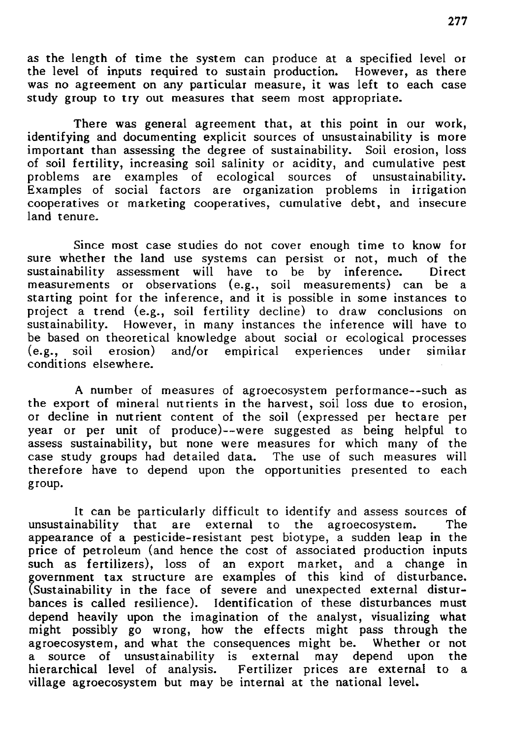as the length of time the system can produce at a specified level or the level of inputs required to sustain production. However, as there was no agreement on any particular measure, it was left to each case study group to try out measures that seem most appropriate.

There was general agreement that, at this point in our work, identifying and documenting explicit sources of unsustainability is more important than assessing the degree of sustainability. Soil erosion, loss of soil fertility, increasing soil salinity or acidity, and cumulative pest problems are examples of ecological sources of unsustainability. Examples of social factors are organization problems in irrigation cooperatives or marketing cooperatives, cumulative debt, and insecure land tenure.

Since most case studies do not cover enough time to know for sure whether the land use systems can persist or not, much of the sustainability assessment will have to be by inference. Direct sustainability assessment will have to be by inference. measurements or observations (e.g., soil measurements) can be a starting point for the inference, and it is possible in some instances to project a trend (e.g., soil fertility decline) to draw conclusions on sustainability. However, in many instances the inference will have to be based on theoretical knowledge about social or ecological processes (e.g., soil erosion) and/or empirical experiences under similar  $(e.g., \text{ soil } \text{erosion})$  and/or empirical experiences under conditions elsewhere.

A number of measures of agroecosystem performance--such as the export of mineral nutrients in the harvest, soil loss due to erosion, or decline in nutrient content of the soil (expressed per hectare per year or per unit of produce)--were suggested as being helpful to assess sustainability, but none were measures for which many of the case study groups had detailed data. The use of such measures will therefore have to depend upon the opportunities presented to each group.

It can be particularly difficult to identify and assess sources of inability that are external to the agroecosystem. The unsustainability that are external to the agroecosystem. appearance of a pesticide-resistant pest biotype, a sudden leap in the price of petroleum (and hence the cost of associated production inputs such as fertilizers), loss of an export market, and a change in government tax structure are examples of this kind of disturbance. (Sustainability in the face of severe and unexpected external disturbances is called resilience). Identification of these disturbances must depend heavily upon the imagination of the analyst, visualizing what might possibly go wrong, how the effects might pass through the agroecosystem, and what the consequences might be. Whether or not agroecosystem, and what the consequences might be. a source of unsustainability is external may depend upon the hierarchical level of analysis. Fertilizer prices are external to a village agroecosystem but may be internal at the national level.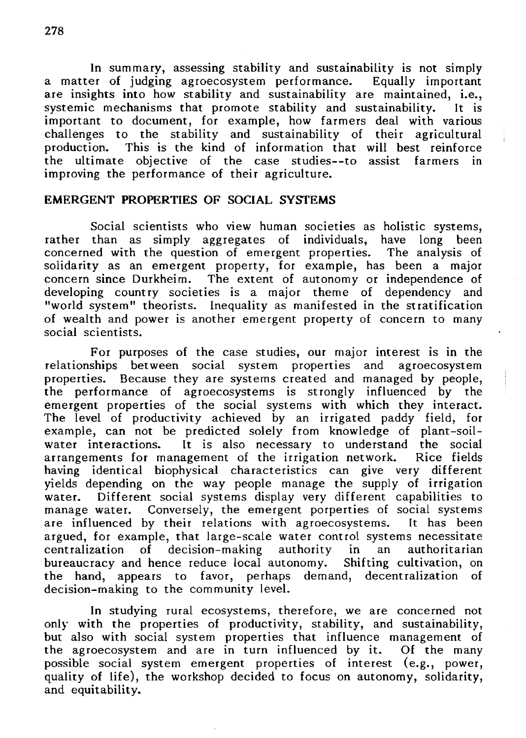In summary, assessing stability and sustainability is not simply<br>er of judging agroecosystem performance. Equally important a matter of judging agroecosystem performance. are insights into how stability and sustainability are maintained, i.e., systemic mechanisms that promote stability and sustainability. It is important to document, for example, how farmers deal with various challenges to the stability and sustainability of their agricultural production. This is the kind of information that will best reinforce the ultimate objective of the case studies--to assist farmers in the ultimate objective of the case studies--to assist improving the performance of their agriculture.

### EMERGENT PROPERTIES OF SOCIAL SYSTEMS

Social scientists who view human societies as holistic systems, rather than as simply aggregates of individuals, have long been concerned with the question of emergent properties. The analysis of solidarity as an emergent property, for example, has been a major concern since Durkheim. The extent of autonomy or independence of developing country societies is a major theme of dependency and "world system" theorists. Inequality as manifested in the stratification of wealth and power is another emergent property of concern to many social scientists.

For purposes of the case studies, our major interest is in the relationships between social system properties and agroecosystem properties. Because they are systems created and managed by people, the performance of agroecosystems is strongly influenced by the emergent properties of the social systems with which they interact. The level of productivity achieved by an irrigated paddy field, for example, can not be predicted solely from knowledge of plant-soilwater interactions. It is also necessary to understand the social arrangements for management of the irrigation network. Rice fields arrangements for management of the irrigation network. having identical biophysical characteristics can give very different yields depending on the way people manage the supply of irrigation water. Different social systems display very different capabilities to manage water. Conversely, the emergent porperties of social systems are influenced by their relations with agroecosystems. It has been are influenced by their relations with agroecosystems. argued, for example, that large-scale water control systems necessitate centralization of decision-making authority in an authoritarian<br>bureaucracy and hence reduce local autonomy. Shifting cultivation, on bureaucracy and hence reduce local autonomy. the hand, appears to favor, perhaps demand, decentralization of decision-making to the community level.

In studying rural ecosystems, therefore, we are concerned not only with the properties of productivity, stability, and sustainability, but also with social system properties that influence management of the agroecosystem and are in turn influenced by it. Of the many possible social system emergent properties of interest (e.g., power, quality of life), the workshop decided to focus on autonomy, solidarity, and equitability.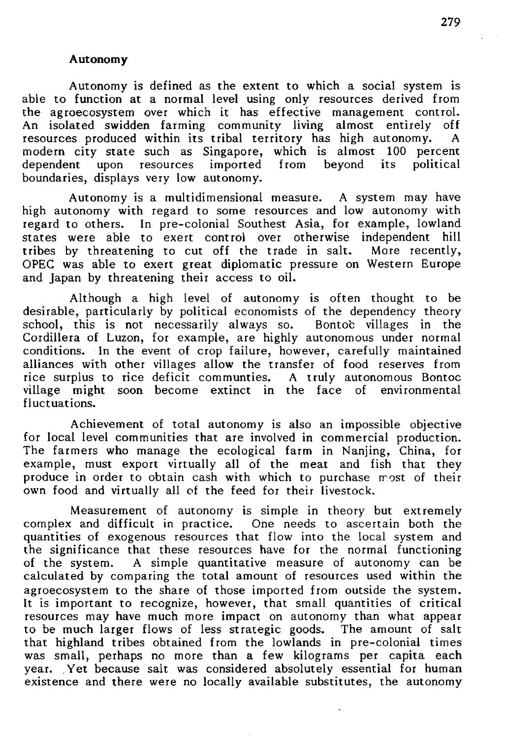#### **Autonomy**

Autonomy is defined as the extent to which a social system is able to function at a normal level using only resources derived from the agroecosystem over which it has effective management control. An isolated swidden farming community living almost entirely off resources produced within its tribal territory has high autonomy. modern city state such as Singapore, which is almost 100 percent dependent upon resources imported from beyond its political dependent upon resources imported from boundaries, displays very low autonomy.

Autonomy is a multidimensional measure. A system may have high autonomy with regard to some resources and low autonomy with regard to others. In pre-colonial Southest Asia, for example, lowland states were able to exert control over otherwise independent hill<br>tribes by threatening to cut off the trade in salt. More recently, tribes by threatening to cut off the trade in salt. OPEC was able to exert great diplomatic pressure on Western Europe and Japan by threatening their access to oil.

Although a high level of autonomy is often thought to be desirable, particularly by political economists of the dependency theory school, this is not necessarily always so. Bontoc villages in the Cordillera of Luzon, for example, are highly autonomous under normal conditions. In the event of crop failure, however, carefully maintained alliances with other villages allow the transfer of food reserves from rice surplus to rice deficit communties. A truly autonomous Bontoc village might soon become extinct in the face of environmental fluctuations.

Achievement of total autonomy is also an impossible objective for local level communities that are involved in commercial production. The farmers who manage the ecological farm in Nanjing, China, for example, must export virtually all of the meat and fish that they produce in order to obtain cash with which to purchase most of their own food and virtually all of the feed for their livestock.

Measurement of autonomy is simple in theory but extremely complex and difficult in practice. One needs to ascertain both the quantities of exogenous resources that flow into the local system and the significance that these resources have for the normal functioning of the system. A simple quantitative measure of autonomy can be calculated by comparing the total amount of resources used within the agroecosystem to the share of those imported from outside the system. It is important to recognize, however, that small quantities of critical resources may have much more impact on autonomy than what appear to be much larger flows of less strategic goods. The amount of salt that highland tribes obtained from the lowlands in pre-colonial times was small, perhaps no more than a few kilograms per capita each year. Yet because salt was considered absolutely essential for human existence and there were no locally available substitutes, the autonomy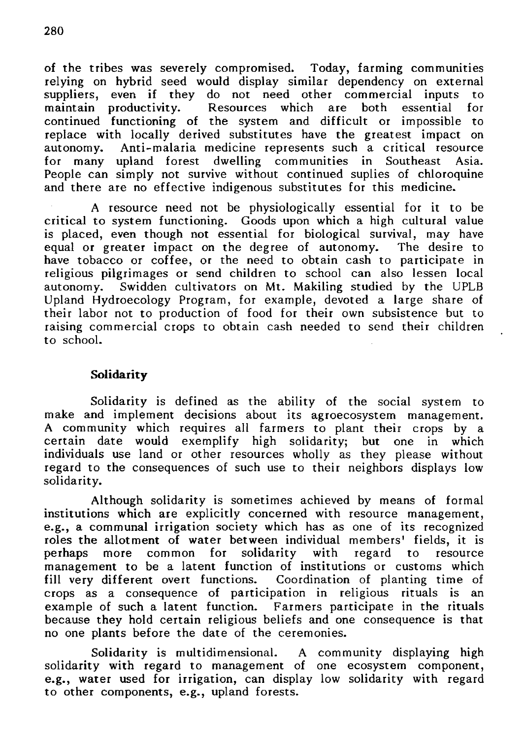of the tribes was severely compromised. Today, farming communities relying on hybrid seed would display similar dependency on external suppliers, even if they do not need other commercial inputs to maintain productivity. Resources which are both essential for continued functioning of the system and difficult or impossible to replace with locally derived substitutes have the greatest impact on autonomy. Anti-malaria medicine represents such a critical resource for many upland forest dwelling communities in Southeast Asia. People can simply not survive without continued suplies of chloroquine and there are no effective indigenous substitutes for this medicine.

A resource need not be physiologically essential for it to be critical to system functioning. Goods upon which a high cultural value is placed, even though not essential for biological survival, may have equal or greater impact on the degree of autonomy. The desire to have tobacco or coffee, or the need to obtain cash to participate in religious pilgrimages or send children to school can also lessen local autonomy. Swidden cultivators on Mt. Makiling studied by the UPLB Upland Hydroecology Program, for example, devoted a large share of their labor not to production of food for their own subsistence but to raising commercial crops to obtain cash needed to send their children to school.

### Solidarity

Solidarity is defined as the ability of the social system to make and implement decisions about its agroecosystem management. A community which requires all farmers to plant their crops by a certain date would exemplify high solidarity; but one in which individuals use land or other resources wholly as they please without regard to the consequences of such use to their neighbors displays low solidarity.

Although solidarity is sometimes achieved by means of formal institutions which are explicitly concerned with resource management, e.g., a communal irrigation society which has as one of its recognized roles the allotment of water between individual members' fields, it is perhaps more common for solidarity with regard to resource perhaps more common for solidarity with regard to management to be a latent function of institutions or customs which fill very different overt functions. Coordination of planting time of crops as a consequence of participation in religious rituals is an example of such a latent function. Farmers participate in the rituals because they hold certain religious beliefs and one consequence is that no one plants before the date of the ceremonies.

Solidarity is multidimensional. A community displaying high solidarity with regard to management of one ecosystem component, e.g., water used for irrigation, can display low solidarity with regard to other components, e.g., upland forests.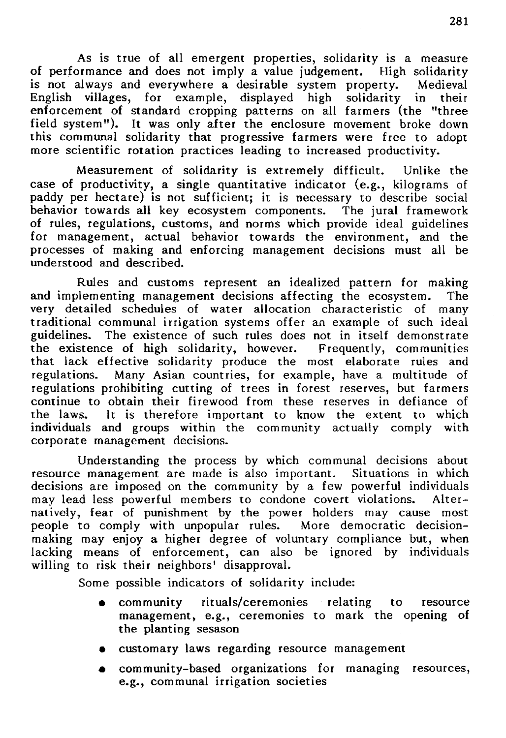As is true of all emergent properties, solidarity is a measure of performance and does not imply a value judgement. High solidarity<br>is not always and everywhere a desirable system property. Medieval is not always and everywhere a desirable system property. English villages, for example, displayed high solidarity in their enforcement of standard cropping patterns on all farmers (the "three field system"). It was only after the enclosure movement broke down this communal solidarity that progressive farmers were free to adopt more scientific rotation practices leading to increased productivity.

Measurement of solidarity is extremely difficult. Unlike the case of productivity, a single quantitative indicator (e.g., kilograms of paddy per hectare) is not sufficient; it is necessary to describe social behavior towards all key ecosystem components. The jural framework behavior towards all key ecosystem components. of rules, regulations, customs, and norms which provide ideal guidelines for management, actual behavior towards the environment, and the processes of making and enforcing management decisions must all be understood and described.

Rules and customs represent an idealized pattern for making and implementing management decisions affecting the ecosystem. The very detailed schedules of water allocation characteristic of many traditional communal irrigation systems offer an example of such ideal guidelines. The existence of such rules does not in itself demonstrate<br>the existence of high solidarity, however. Frequently, communities the existence of high solidarity, however. that lack effective solidarity produce the most elaborate rules and regulations. Many Asian countries, for example, have a multitude of Many Asian countries, for example, have a multitude of regulations prohibiting cutting of trees in forest reserves, but farmers continue to obtain their firewood from these reserves in defiance of the laws. It is therefore important to know the extent to which individuals and groups within the community actually comply with corporate management decisions.

Understanding the process by which communal decisions about resource management are made is also important. Situations in which decisions are imposed on the community by a few powerful individuals<br>may lead less powerful members to condone covert violations. Altermay lead less powerful members to condone covert violations. natively, fear of punishment by the power holders may cause most<br>people to comply with unpopular rules. More democratic decisionpeople to comply with unpopular rules. making may enjoy a higher degree of voluntary compliance but, when lacking means of enforcement, can also be ignored by individuals willing to risk their neighbors' disapproval.

Some possible indicators of solidarity include:

- community rituals/ceremonies relating to resource management, e.g., ceremonies to mark the opening of the planting sesason
- customary laws regarding resource management
- community-based organizations for managing resources, e.g., communal irrigation societies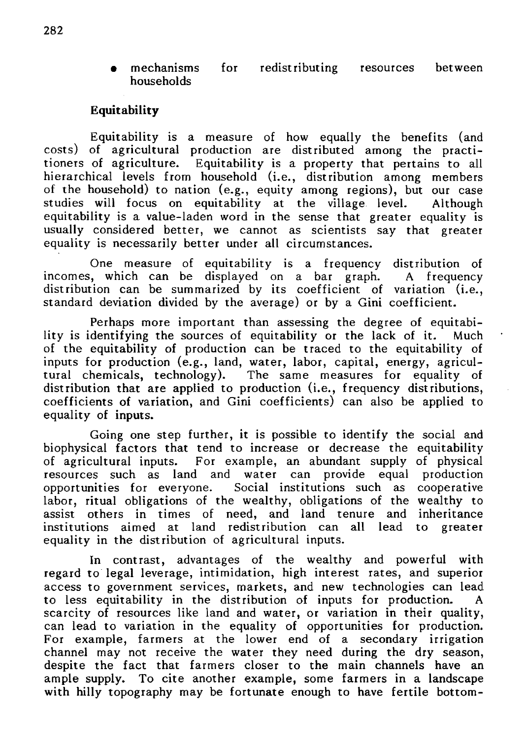• mechanisms for redistributing resources between households

### **Equitability**

Equitability is a measure of how equally the benefits (and costs) of agricultural production are distributed among the practitioners of agriculture. Equitability is a property that pertains to all hierarchical levels from household (i.e., distribution among members of the household) to nation (e.g., equity among regions), but our case studies will focus on equitability at the village level. Although studies will focus on equitability at the village level. equitability is a value-laden word in the sense that greater equality is usually considered better, we cannot as scientists say that greater equality is necessarily better under all circumstances.

One measure of equitability is a frequency distribution of incomes, which can be displayed on a bar graph. distribution can be summarized by its coefficient of variation (i.e., standard deviation divided by the average) or by a Gini coefficient. A frequency

Perhaps more important than assessing the degree of equitability is identifying the sources of equitability or the lack of it. Much of the equitability of production can be traced to the equitability of inputs for production (e.g., land, water, labor, capital, energy, agricultural chemicals, technology). The same measures for equality of distribution that are applied to production (i.e., frequency distributions, coefficients of variation, and Gini coefficients) can also be applied to equality of inputs.

Going one step further, it is possible to identify the social and biophysical factors that tend to increase or decrease the equitability of agricultural inputs. For example, an abundant supply of physical resources such as land and water can provide equal production opportunities for everyone. Social institutions such as cooperative labor, ritual obligations of the wealthy, obligations of the wealthy to assist others in times of need, and land tenure and inheritance institutions aimed at land redistribution can all lead to greater equality in the distribution of agricultural inputs.

In contrast, advantages of the wealthy and powerful with regard to legal leverage, intimidation, high interest rates, and superior access to government services, markets, and new technologies can lead to less equitability in the distribution of inputs for production. A scarcity of resources like land and water, or variation in their quality, can lead to variation in the equality of opportunities for production. For example, farmers at the lower end of a secondary irrigation channel may not receive the water they need during the dry season, despite the fact that farmers closer to the main channels have an ample supply. To cite another example, some farmers in a landscape with hilly topography may be fortunate enough to have fertile bottom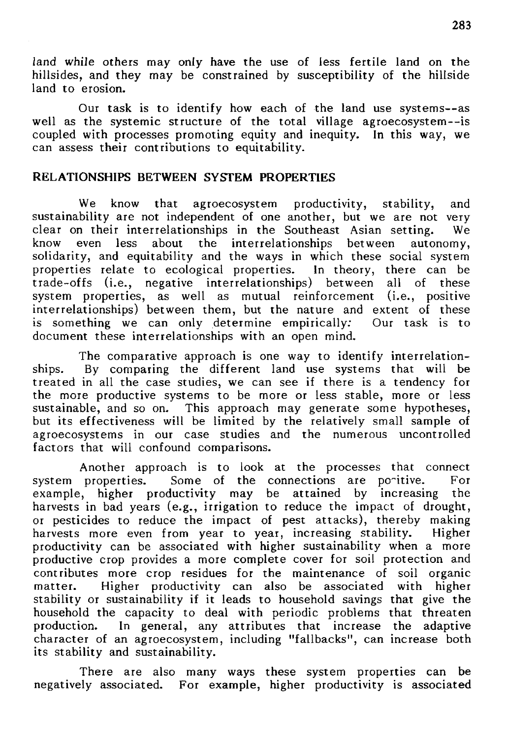land while others may only have the use of less fertile land on the hillsides, and they may be constrained by susceptibility of the hillside land to erosion.

Our task is to identify how each of the land use systems--as well as the systemic structure of the total village agroecosystem--is coupled with processes promoting equity and inequity. In this way, we can assess their contributions to equitability.

### RELATIONSHIPS BETWEEN SYSfEM PROPERTIES

We know that agroecosystem productivity, stability, and sustainability are not independent of one another, but we are not very clear on their interrelationships in the Southeast Asian setting. We<br>know even less about the interrelationships between autonomy, know even less about the interrelationships between solidarity, and equitability and the ways in which these social system properties relate to ecological properties. In theory, there can be trade-offs (i.e., negative interrelationships) between all of these system properties, as well as mutual reinforcement (i.e., positive interrelationships) between them, but the nature and extent of these is something we can only determine empirically: Our task is to document these interrelationships with an open mind.

The comparative approach is one way to identify interrelationships. By comparing the different land use systems that will be treated in all the case studies, we can see if there is a tendency for the more productive systems to be more or less stable, more or less sustainable, and so on. This approach may generate some hypotheses, but its effectiveness will be limited by the relatively small sample of agroecosystems in our case studies and the numerous uncontrolled factors that will confound comparisons.

Another approach is to look at the processes that connect system properties. Some of the connections are po-itive. For example, higher productivity may be attained by increasing the harvests in bad years (e.g., irrigation to reduce the impact of drought, or pesticides to reduce the impact of pest attacks), thereby making harvests more even from year to year, increasing stability. Higher productivity can be associated with higher sustainability when a more productive crop provides a more complete cover for soil protection and contributes more crop residues for the maintenance of soil organic matter. Higher productivity can also be associated with higher stability or sustainability if it leads to household savings that give the household the capacity to deal with periodic problems that threaten production. In general, any attributes that increase the adaptive character of an agroecosystem, including "fallbacks", can increase both its stability and sustainability.

There are also many ways these system properties can be negatively associated. For example, higher productivity is associated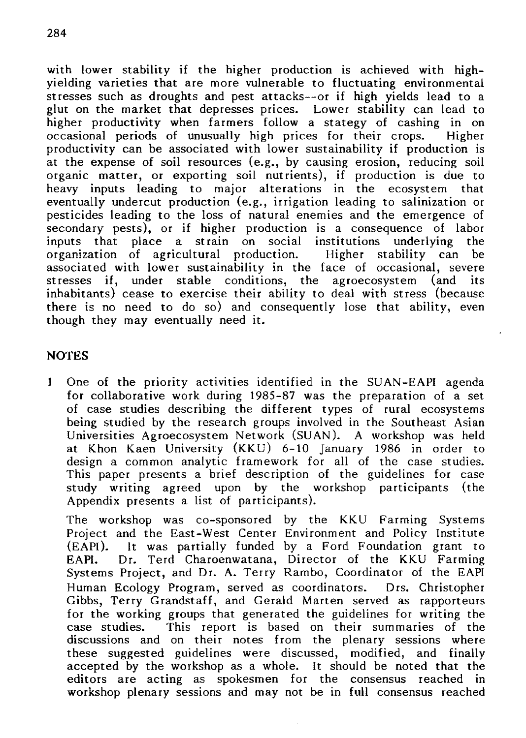with lower stability if the higher production is achieved with highyielding varieties that are more vulnerable to fluctuating environmental stresses such as droughts and pest attacks--or if high yields lead to a glut on the market that depresses prices. Lower stability can lead to higher productivity when farmers follow a stategy of cashing in on occasional periods of unusually high prices for their crops. Higher productivity can be associated with lower sustainability if production is at the expense of soil resources (e.g., by causing erosion, reducing soil organic matter, or exporting soil nutrients), if production is due to heavy inputs leading to major alterations in the ecosystem that eventually undercut production (e.g., irrigation leading to salinization or pesticides leading to the loss of natural enemies and the emergence of secondary pests), or if higher production is a consequence of labor inputs that place a strain on social institutions underlying organization of agricultural production. Higher stability can be associated with lower sustainability in the face of occasional, severe stresses if, under stable conditions, the agroecosystem (and its inhabitants) cease to exercise their ability to deal with stress (because there is no need to do so) and consequently lose that ability, even though they may eventually need it.

### **NOTES**

1 One of the priority activities identified in the SUAN-EAPI agenda for collaborative work during 1985-87 was the preparation of a set of case studies describing the different types of rural ecosystems being studied by the research groups involved in the Southeast Asian Universities Agroecosystem Network (SUAN). A workshop was held at Khon Kaen University (KKU) 6-10 January 1986 in order to design a common analytic framework for all of the case studies. This paper presents a brief description of the guidelines for case study writing agreed upon by the workshop participants (the Appendix presents a list of participants).

The workshop was co-sponsored by the KKU Farming Systems Project and the East-West Center Environment and Policy Institute (EAPI). It was partially funded by a Ford Foundation grant to EAPI. Dr. Terd Charoenwatana, Director of the KKU Farming Systems Project, and Dr. A. Terry Rambo, Coordinator of the EAPI Human Ecology Program, served as coordinators. Ors. Christopher Gibbs, Terry Grandstaff, and Gerald Marten served as rapporteurs for the working groups that generated the guidelines for writing the case studies. This report is based on their summaries of the discussions and on their notes from the plenary sessions where these suggested guidelines were discussed, modified, and finally accepted by the workshop as a whole. It should be noted that the editors are acting as spokesmen for the consensus reached in workshop plenary sessions and may not be in full consensus reached